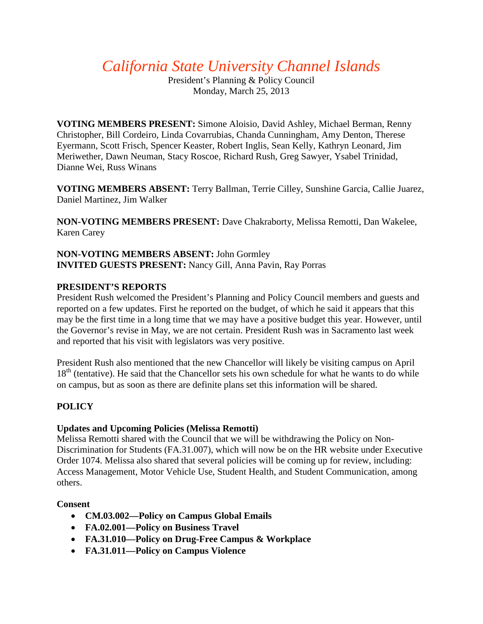*California State University Channel Islands*

President's Planning & Policy Council Monday, March 25, 2013

**VOTING MEMBERS PRESENT:** Simone Aloisio, David Ashley, Michael Berman, Renny Christopher, Bill Cordeiro, Linda Covarrubias, Chanda Cunningham, Amy Denton, Therese Eyermann, Scott Frisch, Spencer Keaster, Robert Inglis, Sean Kelly, Kathryn Leonard, Jim Meriwether, Dawn Neuman, Stacy Roscoe, Richard Rush, Greg Sawyer, Ysabel Trinidad, Dianne Wei, Russ Winans

**VOTING MEMBERS ABSENT:** Terry Ballman, Terrie Cilley, Sunshine Garcia, Callie Juarez, Daniel Martinez, Jim Walker

**NON-VOTING MEMBERS PRESENT:** Dave Chakraborty, Melissa Remotti, Dan Wakelee, Karen Carey

**NON-VOTING MEMBERS ABSENT:** John Gormley **INVITED GUESTS PRESENT:** Nancy Gill, Anna Pavin, Ray Porras

## **PRESIDENT'S REPORTS**

President Rush welcomed the President's Planning and Policy Council members and guests and reported on a few updates. First he reported on the budget, of which he said it appears that this may be the first time in a long time that we may have a positive budget this year. However, until the Governor's revise in May, we are not certain. President Rush was in Sacramento last week and reported that his visit with legislators was very positive.

President Rush also mentioned that the new Chancellor will likely be visiting campus on April  $18<sup>th</sup>$  (tentative). He said that the Chancellor sets his own schedule for what he wants to do while on campus, but as soon as there are definite plans set this information will be shared.

# **POLICY**

## **Updates and Upcoming Policies (Melissa Remotti)**

Melissa Remotti shared with the Council that we will be withdrawing the Policy on Non-Discrimination for Students (FA.31.007), which will now be on the HR website under Executive Order 1074. Melissa also shared that several policies will be coming up for review, including: Access Management, Motor Vehicle Use, Student Health, and Student Communication, among others.

## **Consent**

- **CM.03.002—Policy on Campus Global Emails**
- **FA.02.001—Policy on Business Travel**
- **FA.31.010—Policy on Drug-Free Campus & Workplace**
- **FA.31.011—Policy on Campus Violence**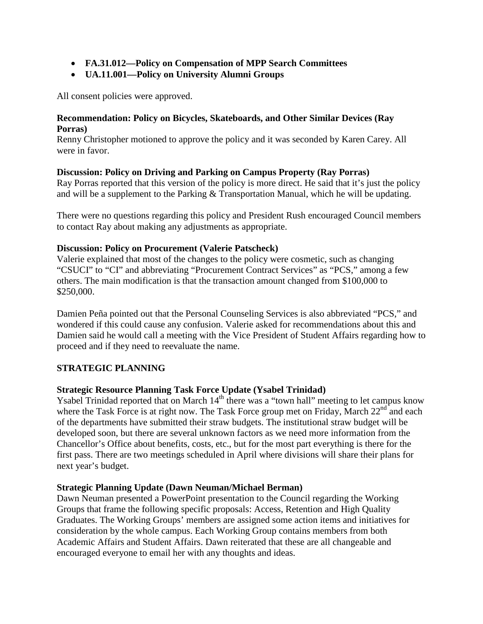- **FA.31.012—Policy on Compensation of MPP Search Committees**
- **UA.11.001—Policy on University Alumni Groups**

All consent policies were approved.

#### **Recommendation: Policy on Bicycles, Skateboards, and Other Similar Devices (Ray Porras)**

Renny Christopher motioned to approve the policy and it was seconded by Karen Carey. All were in favor.

## **Discussion: Policy on Driving and Parking on Campus Property (Ray Porras)**

Ray Porras reported that this version of the policy is more direct. He said that it's just the policy and will be a supplement to the Parking & Transportation Manual, which he will be updating.

There were no questions regarding this policy and President Rush encouraged Council members to contact Ray about making any adjustments as appropriate.

#### **Discussion: Policy on Procurement (Valerie Patscheck)**

Valerie explained that most of the changes to the policy were cosmetic, such as changing "CSUCI" to "CI" and abbreviating "Procurement Contract Services" as "PCS," among a few others. The main modification is that the transaction amount changed from \$100,000 to \$250,000.

Damien Peña pointed out that the Personal Counseling Services is also abbreviated "PCS," and wondered if this could cause any confusion. Valerie asked for recommendations about this and Damien said he would call a meeting with the Vice President of Student Affairs regarding how to proceed and if they need to reevaluate the name.

## **STRATEGIC PLANNING**

#### **Strategic Resource Planning Task Force Update (Ysabel Trinidad)**

Ysabel Trinidad reported that on March  $14<sup>th</sup>$  there was a "town hall" meeting to let campus know where the Task Force is at right now. The Task Force group met on Friday, March  $22<sup>nd</sup>$  and each of the departments have submitted their straw budgets. The institutional straw budget will be developed soon, but there are several unknown factors as we need more information from the Chancellor's Office about benefits, costs, etc., but for the most part everything is there for the first pass. There are two meetings scheduled in April where divisions will share their plans for next year's budget.

#### **Strategic Planning Update (Dawn Neuman/Michael Berman)**

Dawn Neuman presented a PowerPoint presentation to the Council regarding the Working Groups that frame the following specific proposals: Access, Retention and High Quality Graduates. The Working Groups' members are assigned some action items and initiatives for consideration by the whole campus. Each Working Group contains members from both Academic Affairs and Student Affairs. Dawn reiterated that these are all changeable and encouraged everyone to email her with any thoughts and ideas.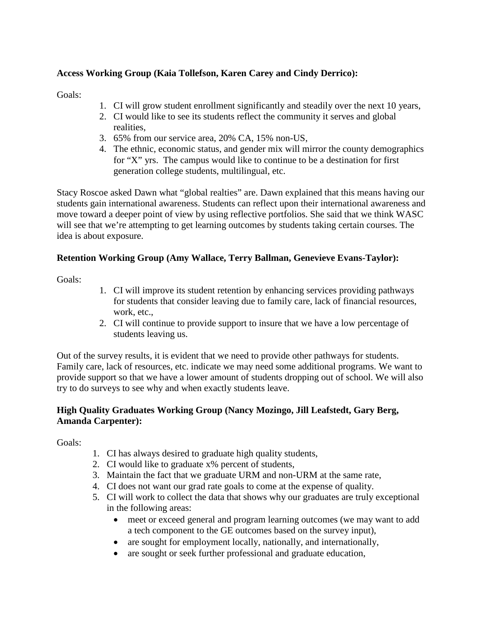# **Access Working Group (Kaia Tollefson, Karen Carey and Cindy Derrico):**

Goals:

- 1. CI will grow student enrollment significantly and steadily over the next 10 years,
- 2. CI would like to see its students reflect the community it serves and global realities,
- 3. 65% from our service area, 20% CA, 15% non-US,
- 4. The ethnic, economic status, and gender mix will mirror the county demographics for "X" yrs. The campus would like to continue to be a destination for first generation college students, multilingual, etc.

Stacy Roscoe asked Dawn what "global realties" are. Dawn explained that this means having our students gain international awareness. Students can reflect upon their international awareness and move toward a deeper point of view by using reflective portfolios. She said that we think WASC will see that we're attempting to get learning outcomes by students taking certain courses. The idea is about exposure.

## **Retention Working Group (Amy Wallace, Terry Ballman, Genevieve Evans-Taylor):**

Goals:

- 1. CI will improve its student retention by enhancing services providing pathways for students that consider leaving due to family care, lack of financial resources, work, etc.,
- 2. CI will continue to provide support to insure that we have a low percentage of students leaving us.

Out of the survey results, it is evident that we need to provide other pathways for students. Family care, lack of resources, etc. indicate we may need some additional programs. We want to provide support so that we have a lower amount of students dropping out of school. We will also try to do surveys to see why and when exactly students leave.

## **High Quality Graduates Working Group (Nancy Mozingo, Jill Leafstedt, Gary Berg, Amanda Carpenter):**

Goals:

- 1. CI has always desired to graduate high quality students,
- 2. CI would like to graduate x% percent of students,
- 3. Maintain the fact that we graduate URM and non-URM at the same rate,
- 4. CI does not want our grad rate goals to come at the expense of quality.
- 5. CI will work to collect the data that shows why our graduates are truly exceptional in the following areas:
	- meet or exceed general and program learning outcomes (we may want to add a tech component to the GE outcomes based on the survey input),
	- are sought for employment locally, nationally, and internationally,
	- are sought or seek further professional and graduate education,